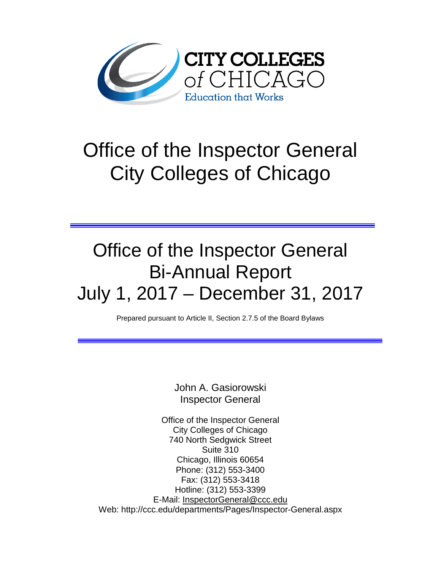

# Office of the Inspector General City Colleges of Chicago

## Office of the Inspector General Bi-Annual Report July 1, 2017 – December 31, 2017

Prepared pursuant to Article II, Section 2.7.5 of the Board Bylaws

John A. Gasiorowski Inspector General

Office of the Inspector General City Colleges of Chicago 740 North Sedgwick Street Suite 310 Chicago, Illinois 60654 Phone: (312) 553-3400 Fax: (312) 553-3418 Hotline: (312) 553-3399 E-Mail: [InspectorGeneral@ccc.edu](mailto:InspectorGeneral@ccc.edu) Web: http://ccc.edu/departments/Pages/Inspector-General.aspx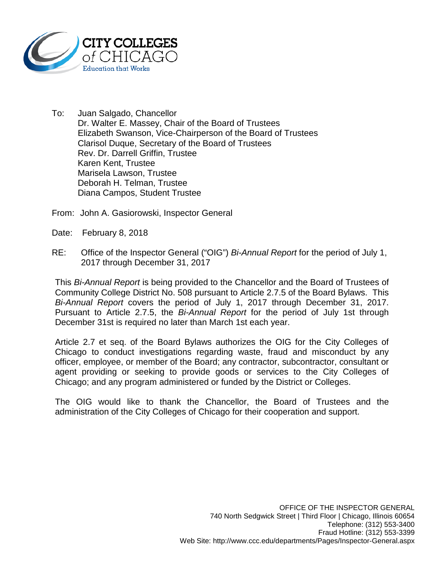

To: Juan Salgado, Chancellor Dr. Walter E. Massey, Chair of the Board of Trustees Elizabeth Swanson, Vice-Chairperson of the Board of Trustees Clarisol Duque, Secretary of the Board of Trustees Rev. Dr. Darrell Griffin, Trustee Karen Kent, Trustee Marisela Lawson, Trustee Deborah H. Telman, Trustee Diana Campos, Student Trustee

From: John A. Gasiorowski, Inspector General

- Date: February 8, 2018
- RE: Office of the Inspector General ("OIG") *Bi-Annual Report* for the period of July 1, 2017 through December 31, 2017

This *Bi-Annual Report* is being provided to the Chancellor and the Board of Trustees of Community College District No. 508 pursuant to Article 2.7.5 of the Board Bylaws. This *Bi-Annual Report* covers the period of July 1, 2017 through December 31, 2017. Pursuant to Article 2.7.5, the *Bi-Annual Report* for the period of July 1st through December 31st is required no later than March 1st each year.

Article 2.7 et seq. of the Board Bylaws authorizes the OIG for the City Colleges of Chicago to conduct investigations regarding waste, fraud and misconduct by any officer, employee, or member of the Board; any contractor, subcontractor, consultant or agent providing or seeking to provide goods or services to the City Colleges of Chicago; and any program administered or funded by the District or Colleges.

The OIG would like to thank the Chancellor, the Board of Trustees and the administration of the City Colleges of Chicago for their cooperation and support.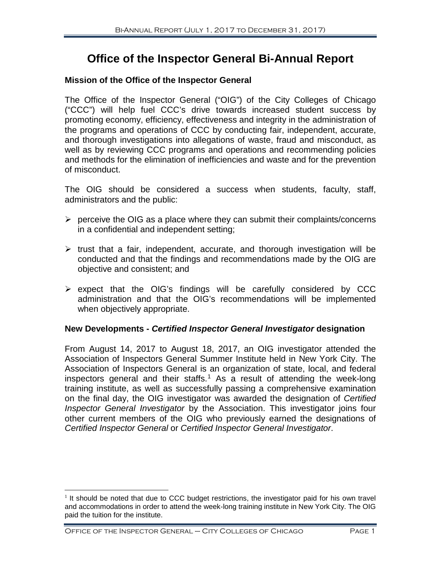### **Office of the Inspector General Bi-Annual Report**

#### **Mission of the Office of the Inspector General**

The Office of the Inspector General ("OIG") of the City Colleges of Chicago ("CCC") will help fuel CCC's drive towards increased student success by promoting economy, efficiency, effectiveness and integrity in the administration of the programs and operations of CCC by conducting fair, independent, accurate, and thorough investigations into allegations of waste, fraud and misconduct, as well as by reviewing CCC programs and operations and recommending policies and methods for the elimination of inefficiencies and waste and for the prevention of misconduct.

The OIG should be considered a success when students, faculty, staff, administrators and the public:

- $\triangleright$  perceive the OIG as a place where they can submit their complaints/concerns in a confidential and independent setting;
- $\triangleright$  trust that a fair, independent, accurate, and thorough investigation will be conducted and that the findings and recommendations made by the OIG are objective and consistent; and
- $\triangleright$  expect that the OIG's findings will be carefully considered by CCC administration and that the OIG's recommendations will be implemented when objectively appropriate.

#### **New Developments -** *Certified Inspector General Investigator* **designation**

From August 14, 2017 to August 18, 2017, an OIG investigator attended the Association of Inspectors General Summer Institute held in New York City. The Association of Inspectors General is an organization of state, local, and federal inspectors general and their staffs.<sup>[1](#page-2-0)</sup> As a result of attending the week-long training institute, as well as successfully passing a comprehensive examination on the final day, the OIG investigator was awarded the designation of *Certified Inspector General Investigator* by the Association. This investigator joins four other current members of the OIG who previously earned the designations of *Certified Inspector General* or *Certified Inspector General Investigator*.

<span id="page-2-0"></span> $1$  It should be noted that due to CCC budget restrictions, the investigator paid for his own travel and accommodations in order to attend the week-long training institute in New York City. The OIG paid the tuition for the institute.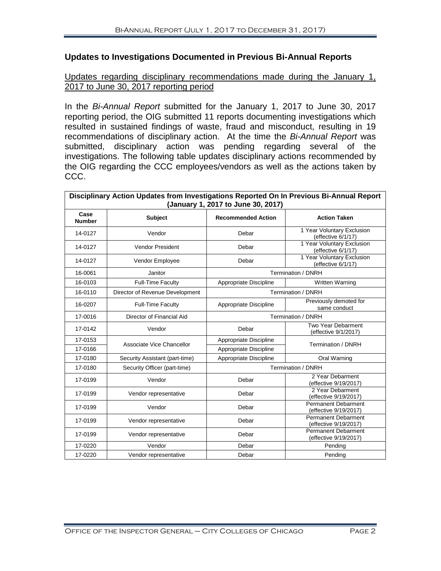#### **Updates to Investigations Documented in Previous Bi-Annual Reports**

#### Updates regarding disciplinary recommendations made during the January 1, 2017 to June 30, 2017 reporting period

In the *Bi-Annual Report* submitted for the January 1, 2017 to June 30, 2017 reporting period, the OIG submitted 11 reports documenting investigations which resulted in sustained findings of waste, fraud and misconduct, resulting in 19 recommendations of disciplinary action. At the time the *Bi-Annual Report* was submitted, disciplinary action was pending regarding several of the investigations. The following table updates disciplinary actions recommended by the OIG regarding the CCC employees/vendors as well as the actions taken by CCC.

| Disciplinary Action Updates from Investigations Reported On In Previous Bi-Annual Report<br>(January 1, 2017 to June 30, 2017) |                                 |                           |                                                     |  |  |  |  |
|--------------------------------------------------------------------------------------------------------------------------------|---------------------------------|---------------------------|-----------------------------------------------------|--|--|--|--|
| Case<br><b>Number</b>                                                                                                          | <b>Subject</b>                  | <b>Recommended Action</b> | <b>Action Taken</b>                                 |  |  |  |  |
| 14-0127                                                                                                                        | Vendor                          | Debar                     | 1 Year Voluntary Exclusion<br>(effective 6/1/17)    |  |  |  |  |
| 14-0127                                                                                                                        | <b>Vendor President</b>         | Debar                     | 1 Year Voluntary Exclusion<br>(effective 6/1/17)    |  |  |  |  |
| 14-0127                                                                                                                        | Vendor Employee                 | Debar                     | 1 Year Voluntary Exclusion<br>(effective 6/1/17)    |  |  |  |  |
| 16-0061                                                                                                                        | Janitor                         |                           | Termination / DNRH                                  |  |  |  |  |
| 16-0103                                                                                                                        | <b>Full-Time Faculty</b>        | Appropriate Discipline    | <b>Written Warning</b>                              |  |  |  |  |
| 16-0110                                                                                                                        | Director of Revenue Development |                           | Termination / DNRH                                  |  |  |  |  |
| 16-0207                                                                                                                        | <b>Full-Time Faculty</b>        | Appropriate Discipline    | Previously demoted for<br>same conduct              |  |  |  |  |
| 17-0016                                                                                                                        | Director of Financial Aid       |                           | Termination / DNRH                                  |  |  |  |  |
| 17-0142                                                                                                                        | Vendor                          | Debar                     | Two Year Debarment<br>(effective 9/1/2017)          |  |  |  |  |
| 17-0153                                                                                                                        | Associate Vice Chancellor       | Appropriate Discipline    | Termination / DNRH                                  |  |  |  |  |
| 17-0166                                                                                                                        |                                 | Appropriate Discipline    |                                                     |  |  |  |  |
| 17-0180                                                                                                                        | Security Assistant (part-time)  | Appropriate Discipline    | Oral Warning                                        |  |  |  |  |
| 17-0180                                                                                                                        | Security Officer (part-time)    |                           | Termination / DNRH                                  |  |  |  |  |
| 17-0199                                                                                                                        | Vendor                          | Debar                     | 2 Year Debarment<br>(effective 9/19/2017)           |  |  |  |  |
| 17-0199                                                                                                                        | Vendor representative           | Debar                     | 2 Year Debarment<br>(effective 9/19/2017)           |  |  |  |  |
| 17-0199                                                                                                                        | Vendor                          | Debar                     | <b>Permanent Debarment</b><br>(effective 9/19/2017) |  |  |  |  |
| 17-0199                                                                                                                        | Vendor representative           | Debar                     | <b>Permanent Debarment</b><br>(effective 9/19/2017) |  |  |  |  |
| 17-0199                                                                                                                        | Vendor representative           | Debar                     | <b>Permanent Debarment</b><br>(effective 9/19/2017) |  |  |  |  |
| 17-0220                                                                                                                        | Vendor                          | Debar                     | Pending                                             |  |  |  |  |
| 17-0220                                                                                                                        | Vendor representative           | Debar                     | Pending                                             |  |  |  |  |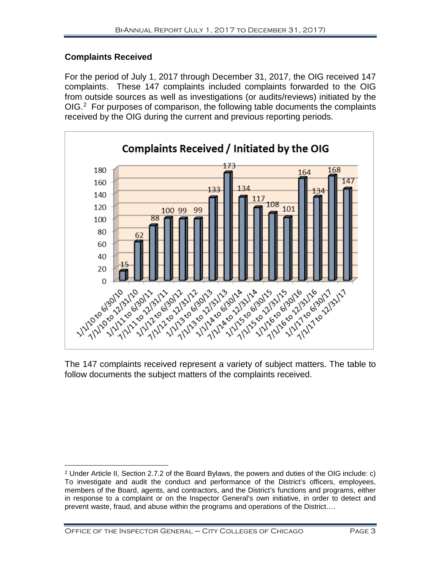#### **Complaints Received**

For the period of July 1, 2017 through December 31, 2017, the OIG received 147 complaints. These 147 complaints included complaints forwarded to the OIG from outside sources as well as investigations (or audits/reviews) initiated by the OIG.<sup>[2](#page-4-0)</sup> For purposes of comparison, the following table documents the complaints received by the OIG during the current and previous reporting periods.



The 147 complaints received represent a variety of subject matters. The table to follow documents the subject matters of the complaints received.

<span id="page-4-0"></span> $\overline{a}$ <sup>2</sup> Under Article II, Section 2.7.2 of the Board Bylaws, the powers and duties of the OIG include: c) To investigate and audit the conduct and performance of the District's officers, employees, members of the Board, agents, and contractors, and the District's functions and programs, either in response to a complaint or on the Inspector General's own initiative, in order to detect and prevent waste, fraud, and abuse within the programs and operations of the District….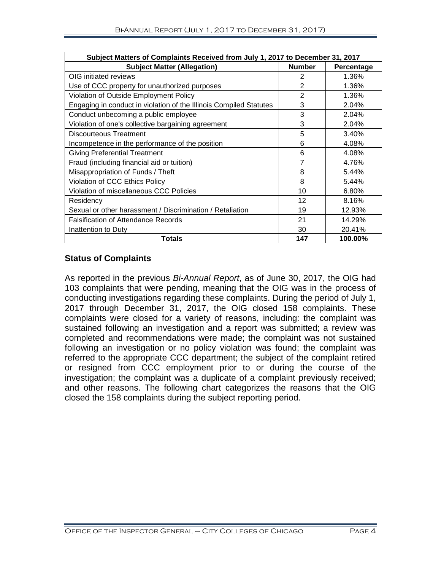| Subject Matters of Complaints Received from July 1, 2017 to December 31, 2017 |                |            |  |  |  |
|-------------------------------------------------------------------------------|----------------|------------|--|--|--|
| <b>Subject Matter (Allegation)</b>                                            | <b>Number</b>  | Percentage |  |  |  |
| OIG initiated reviews                                                         | 2              | 1.36%      |  |  |  |
| Use of CCC property for unauthorized purposes                                 | $\overline{2}$ | 1.36%      |  |  |  |
| Violation of Outside Employment Policy                                        | 2              | 1.36%      |  |  |  |
| Engaging in conduct in violation of the Illinois Compiled Statutes            | 3              | 2.04%      |  |  |  |
| Conduct unbecoming a public employee                                          | 3              | 2.04%      |  |  |  |
| Violation of one's collective bargaining agreement                            | 3              | 2.04%      |  |  |  |
| Discourteous Treatment                                                        | 5              | 3.40%      |  |  |  |
| Incompetence in the performance of the position                               | 6              | 4.08%      |  |  |  |
| <b>Giving Preferential Treatment</b>                                          | 6              | 4.08%      |  |  |  |
| Fraud (including financial aid or tuition)                                    | 7              | 4.76%      |  |  |  |
| Misappropriation of Funds / Theft                                             | 8              | 5.44%      |  |  |  |
| Violation of CCC Ethics Policy                                                | 8              | 5.44%      |  |  |  |
| Violation of miscellaneous CCC Policies                                       | 10             | 6.80%      |  |  |  |
| Residency                                                                     | 12             | 8.16%      |  |  |  |
| Sexual or other harassment / Discrimination / Retaliation                     | 19             | 12.93%     |  |  |  |
| <b>Falsification of Attendance Records</b>                                    | 21             | 14.29%     |  |  |  |
| Inattention to Duty                                                           | 30             | 20.41%     |  |  |  |
| Totals                                                                        | 147            | 100.00%    |  |  |  |

#### **Status of Complaints**

As reported in the previous *Bi-Annual Report*, as of June 30, 2017, the OIG had 103 complaints that were pending, meaning that the OIG was in the process of conducting investigations regarding these complaints. During the period of July 1, 2017 through December 31, 2017, the OIG closed 158 complaints. These complaints were closed for a variety of reasons, including: the complaint was sustained following an investigation and a report was submitted; a review was completed and recommendations were made; the complaint was not sustained following an investigation or no policy violation was found; the complaint was referred to the appropriate CCC department; the subject of the complaint retired or resigned from CCC employment prior to or during the course of the investigation; the complaint was a duplicate of a complaint previously received; and other reasons. The following chart categorizes the reasons that the OIG closed the 158 complaints during the subject reporting period.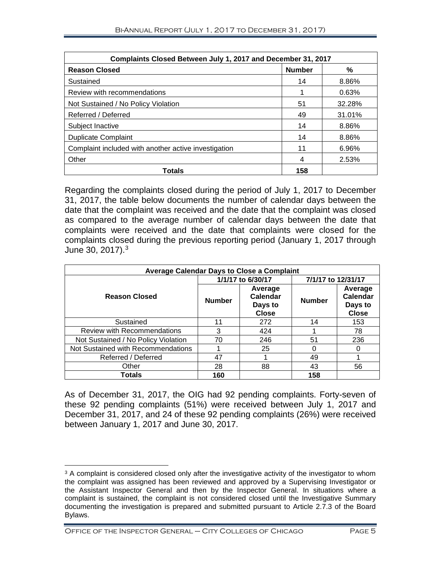| Complaints Closed Between July 1, 2017 and December 31, 2017 |               |        |  |  |  |  |
|--------------------------------------------------------------|---------------|--------|--|--|--|--|
| <b>Reason Closed</b>                                         | <b>Number</b> | %      |  |  |  |  |
| Sustained                                                    | 14            | 8.86%  |  |  |  |  |
| Review with recommendations                                  |               | 0.63%  |  |  |  |  |
| Not Sustained / No Policy Violation                          | 51            | 32.28% |  |  |  |  |
| Referred / Deferred                                          | 49            | 31.01% |  |  |  |  |
| Subject Inactive                                             | 14            | 8.86%  |  |  |  |  |
| <b>Duplicate Complaint</b>                                   | 14            | 8.86%  |  |  |  |  |
| Complaint included with another active investigation         | 11            | 6.96%  |  |  |  |  |
| Other                                                        | 4             | 2.53%  |  |  |  |  |
| <b>Totals</b>                                                | 158           |        |  |  |  |  |

Regarding the complaints closed during the period of July 1, 2017 to December 31, 2017, the table below documents the number of calendar days between the date that the complaint was received and the date that the complaint was closed as compared to the average number of calendar days between the date that complaints were received and the date that complaints were closed for the complaints closed during the previous reporting period (January 1, 2017 through June 30, 2017). [3](#page-6-0)

| <b>Average Calendar Days to Close a Complaint</b> |                   |                                                |                    |                                                       |  |  |  |
|---------------------------------------------------|-------------------|------------------------------------------------|--------------------|-------------------------------------------------------|--|--|--|
|                                                   | 1/1/17 to 6/30/17 |                                                | 7/1/17 to 12/31/17 |                                                       |  |  |  |
| <b>Reason Closed</b>                              | <b>Number</b>     | Average<br>Calendar<br>Days to<br><b>Close</b> | <b>Number</b>      | Average<br><b>Calendar</b><br>Days to<br><b>Close</b> |  |  |  |
| Sustained                                         | 11                | 272                                            | 14                 | 153                                                   |  |  |  |
| <b>Review with Recommendations</b>                | 3                 | 424                                            |                    | 78                                                    |  |  |  |
| Not Sustained / No Policy Violation               | 70                | 246                                            | 51                 | 236                                                   |  |  |  |
| Not Sustained with Recommendations                |                   | 25                                             |                    | O                                                     |  |  |  |
| Referred / Deferred                               | 47                |                                                | 49                 |                                                       |  |  |  |
| Other                                             | 28                | 88                                             | 43                 | 56                                                    |  |  |  |
| Totals                                            | 160               |                                                | 158                |                                                       |  |  |  |

As of December 31, 2017, the OIG had 92 pending complaints. Forty-seven of these 92 pending complaints (51%) were received between July 1, 2017 and December 31, 2017, and 24 of these 92 pending complaints (26%) were received between January 1, 2017 and June 30, 2017.

 $\overline{a}$ 

<span id="page-6-0"></span> $3$  A complaint is considered closed only after the investigative activity of the investigator to whom the complaint was assigned has been reviewed and approved by a Supervising Investigator or the Assistant Inspector General and then by the Inspector General. In situations where a complaint is sustained, the complaint is not considered closed until the Investigative Summary documenting the investigation is prepared and submitted pursuant to Article 2.7.3 of the Board Bylaws.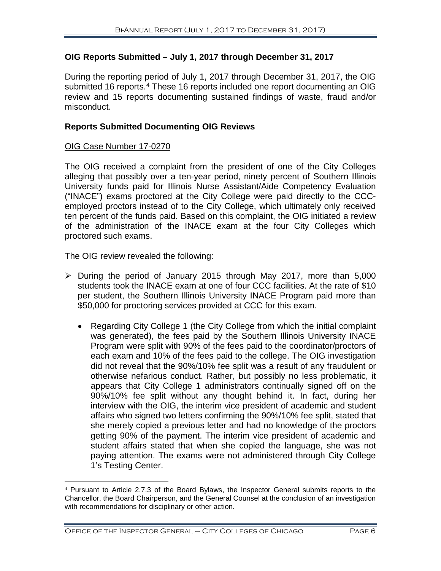#### **OIG Reports Submitted – July 1, 2017 through December 31, 2017**

During the reporting period of July 1, 2017 through December 31, 2017, the OIG submitted 16 reports.<sup>[4](#page-7-0)</sup> These 16 reports included one report documenting an OIG review and 15 reports documenting sustained findings of waste, fraud and/or misconduct.

#### **Reports Submitted Documenting OIG Reviews**

#### OIG Case Number 17-0270

The OIG received a complaint from the president of one of the City Colleges alleging that possibly over a ten-year period, ninety percent of Southern Illinois University funds paid for Illinois Nurse Assistant/Aide Competency Evaluation ("INACE") exams proctored at the City College were paid directly to the CCCemployed proctors instead of to the City College, which ultimately only received ten percent of the funds paid. Based on this complaint, the OIG initiated a review of the administration of the INACE exam at the four City Colleges which proctored such exams.

The OIG review revealed the following:

- $\geq$  During the period of January 2015 through May 2017, more than 5,000 students took the INACE exam at one of four CCC facilities. At the rate of \$10 per student, the Southern Illinois University INACE Program paid more than \$50,000 for proctoring services provided at CCC for this exam.
	- Regarding City College 1 (the City College from which the initial complaint was generated), the fees paid by the Southern Illinois University INACE Program were split with 90% of the fees paid to the coordinator/proctors of each exam and 10% of the fees paid to the college. The OIG investigation did not reveal that the 90%/10% fee split was a result of any fraudulent or otherwise nefarious conduct. Rather, but possibly no less problematic, it appears that City College 1 administrators continually signed off on the 90%/10% fee split without any thought behind it. In fact, during her interview with the OIG, the interim vice president of academic and student affairs who signed two letters confirming the 90%/10% fee split, stated that she merely copied a previous letter and had no knowledge of the proctors getting 90% of the payment. The interim vice president of academic and student affairs stated that when she copied the language, she was not paying attention. The exams were not administered through City College 1's Testing Center.

<span id="page-7-0"></span> <sup>4</sup> Pursuant to Article 2.7.3 of the Board Bylaws, the Inspector General submits reports to the Chancellor, the Board Chairperson, and the General Counsel at the conclusion of an investigation with recommendations for disciplinary or other action.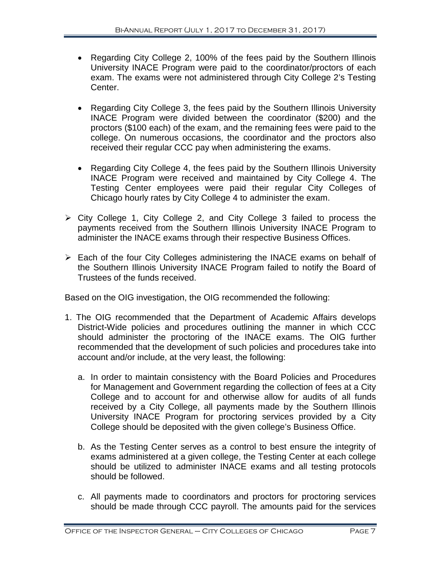- Regarding City College 2, 100% of the fees paid by the Southern Illinois University INACE Program were paid to the coordinator/proctors of each exam. The exams were not administered through City College 2's Testing Center.
- Regarding City College 3, the fees paid by the Southern Illinois University INACE Program were divided between the coordinator (\$200) and the proctors (\$100 each) of the exam, and the remaining fees were paid to the college. On numerous occasions, the coordinator and the proctors also received their regular CCC pay when administering the exams.
- Regarding City College 4, the fees paid by the Southern Illinois University INACE Program were received and maintained by City College 4. The Testing Center employees were paid their regular City Colleges of Chicago hourly rates by City College 4 to administer the exam.
- City College 1, City College 2, and City College 3 failed to process the payments received from the Southern Illinois University INACE Program to administer the INACE exams through their respective Business Offices.
- Each of the four City Colleges administering the INACE exams on behalf of the Southern Illinois University INACE Program failed to notify the Board of Trustees of the funds received.

Based on the OIG investigation, the OIG recommended the following:

- 1. The OIG recommended that the Department of Academic Affairs develops District-Wide policies and procedures outlining the manner in which CCC should administer the proctoring of the INACE exams. The OIG further recommended that the development of such policies and procedures take into account and/or include, at the very least, the following:
	- a. In order to maintain consistency with the Board Policies and Procedures for Management and Government regarding the collection of fees at a City College and to account for and otherwise allow for audits of all funds received by a City College, all payments made by the Southern Illinois University INACE Program for proctoring services provided by a City College should be deposited with the given college's Business Office.
	- b. As the Testing Center serves as a control to best ensure the integrity of exams administered at a given college, the Testing Center at each college should be utilized to administer INACE exams and all testing protocols should be followed.
	- c. All payments made to coordinators and proctors for proctoring services should be made through CCC payroll. The amounts paid for the services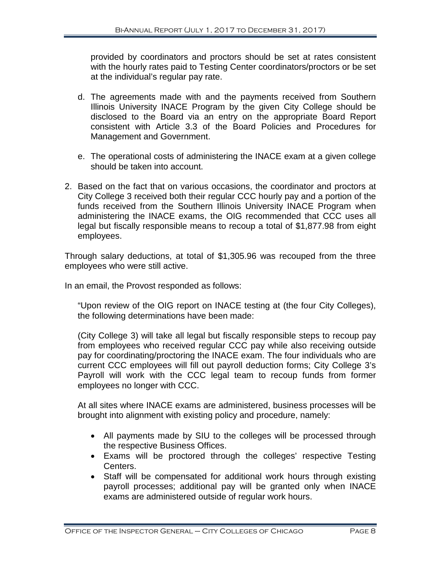provided by coordinators and proctors should be set at rates consistent with the hourly rates paid to Testing Center coordinators/proctors or be set at the individual's regular pay rate.

- d. The agreements made with and the payments received from Southern Illinois University INACE Program by the given City College should be disclosed to the Board via an entry on the appropriate Board Report consistent with Article 3.3 of the Board Policies and Procedures for Management and Government.
- e. The operational costs of administering the INACE exam at a given college should be taken into account.
- 2. Based on the fact that on various occasions, the coordinator and proctors at City College 3 received both their regular CCC hourly pay and a portion of the funds received from the Southern Illinois University INACE Program when administering the INACE exams, the OIG recommended that CCC uses all legal but fiscally responsible means to recoup a total of \$1,877.98 from eight employees.

Through salary deductions, at total of \$1,305.96 was recouped from the three employees who were still active.

In an email, the Provost responded as follows:

"Upon review of the OIG report on INACE testing at (the four City Colleges), the following determinations have been made:

(City College 3) will take all legal but fiscally responsible steps to recoup pay from employees who received regular CCC pay while also receiving outside pay for coordinating/proctoring the INACE exam. The four individuals who are current CCC employees will fill out payroll deduction forms; City College 3's Payroll will work with the CCC legal team to recoup funds from former employees no longer with CCC.

At all sites where INACE exams are administered, business processes will be brought into alignment with existing policy and procedure, namely:

- All payments made by SIU to the colleges will be processed through the respective Business Offices.
- Exams will be proctored through the colleges' respective Testing Centers.
- Staff will be compensated for additional work hours through existing payroll processes; additional pay will be granted only when INACE exams are administered outside of regular work hours.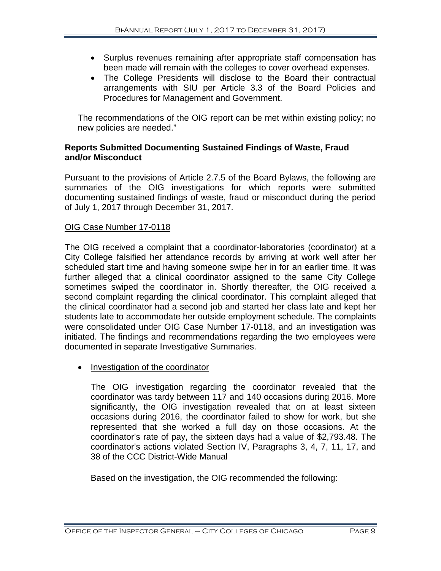- Surplus revenues remaining after appropriate staff compensation has been made will remain with the colleges to cover overhead expenses.
- The College Presidents will disclose to the Board their contractual arrangements with SIU per Article 3.3 of the Board Policies and Procedures for Management and Government.

The recommendations of the OIG report can be met within existing policy; no new policies are needed."

#### **Reports Submitted Documenting Sustained Findings of Waste, Fraud and/or Misconduct**

Pursuant to the provisions of Article 2.7.5 of the Board Bylaws, the following are summaries of the OIG investigations for which reports were submitted documenting sustained findings of waste, fraud or misconduct during the period of July 1, 2017 through December 31, 2017.

#### OIG Case Number 17-0118

The OIG received a complaint that a coordinator-laboratories (coordinator) at a City College falsified her attendance records by arriving at work well after her scheduled start time and having someone swipe her in for an earlier time. It was further alleged that a clinical coordinator assigned to the same City College sometimes swiped the coordinator in. Shortly thereafter, the OIG received a second complaint regarding the clinical coordinator. This complaint alleged that the clinical coordinator had a second job and started her class late and kept her students late to accommodate her outside employment schedule. The complaints were consolidated under OIG Case Number 17-0118, and an investigation was initiated. The findings and recommendations regarding the two employees were documented in separate Investigative Summaries.

• Investigation of the coordinator

The OIG investigation regarding the coordinator revealed that the coordinator was tardy between 117 and 140 occasions during 2016. More significantly, the OIG investigation revealed that on at least sixteen occasions during 2016, the coordinator failed to show for work, but she represented that she worked a full day on those occasions. At the coordinator's rate of pay, the sixteen days had a value of \$2,793.48. The coordinator's actions violated Section IV, Paragraphs 3, 4, 7, 11, 17, and 38 of the CCC District-Wide Manual

Based on the investigation, the OIG recommended the following: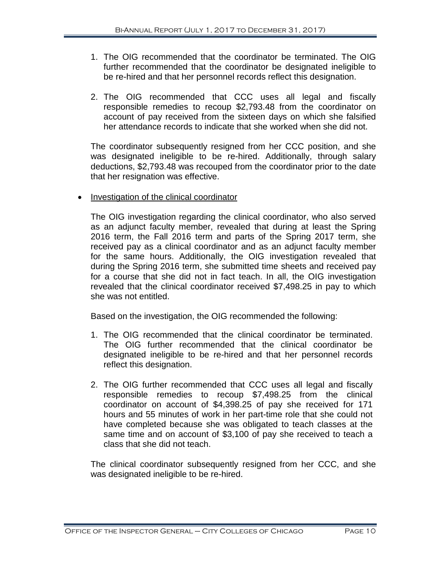- 1. The OIG recommended that the coordinator be terminated. The OIG further recommended that the coordinator be designated ineligible to be re-hired and that her personnel records reflect this designation.
- 2. The OIG recommended that CCC uses all legal and fiscally responsible remedies to recoup \$2,793.48 from the coordinator on account of pay received from the sixteen days on which she falsified her attendance records to indicate that she worked when she did not.

The coordinator subsequently resigned from her CCC position, and she was designated ineligible to be re-hired. Additionally, through salary deductions, \$2,793.48 was recouped from the coordinator prior to the date that her resignation was effective.

• Investigation of the clinical coordinator

The OIG investigation regarding the clinical coordinator, who also served as an adjunct faculty member, revealed that during at least the Spring 2016 term, the Fall 2016 term and parts of the Spring 2017 term, she received pay as a clinical coordinator and as an adjunct faculty member for the same hours. Additionally, the OIG investigation revealed that during the Spring 2016 term, she submitted time sheets and received pay for a course that she did not in fact teach. In all, the OIG investigation revealed that the clinical coordinator received \$7,498.25 in pay to which she was not entitled.

Based on the investigation, the OIG recommended the following:

- 1. The OIG recommended that the clinical coordinator be terminated. The OIG further recommended that the clinical coordinator be designated ineligible to be re-hired and that her personnel records reflect this designation.
- 2. The OIG further recommended that CCC uses all legal and fiscally responsible remedies to recoup \$7,498.25 from the clinical coordinator on account of \$4,398.25 of pay she received for 171 hours and 55 minutes of work in her part-time role that she could not have completed because she was obligated to teach classes at the same time and on account of \$3,100 of pay she received to teach a class that she did not teach.

The clinical coordinator subsequently resigned from her CCC, and she was designated ineligible to be re-hired.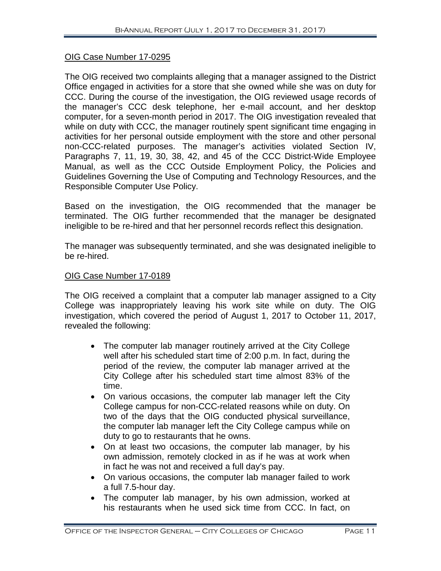#### OIG Case Number 17-0295

The OIG received two complaints alleging that a manager assigned to the District Office engaged in activities for a store that she owned while she was on duty for CCC. During the course of the investigation, the OIG reviewed usage records of the manager's CCC desk telephone, her e-mail account, and her desktop computer, for a seven-month period in 2017. The OIG investigation revealed that while on duty with CCC, the manager routinely spent significant time engaging in activities for her personal outside employment with the store and other personal non-CCC-related purposes. The manager's activities violated Section IV, Paragraphs 7, 11, 19, 30, 38, 42, and 45 of the CCC District-Wide Employee Manual, as well as the CCC Outside Employment Policy, the Policies and Guidelines Governing the Use of Computing and Technology Resources, and the Responsible Computer Use Policy.

Based on the investigation, the OIG recommended that the manager be terminated. The OIG further recommended that the manager be designated ineligible to be re-hired and that her personnel records reflect this designation.

The manager was subsequently terminated, and she was designated ineligible to be re-hired.

#### OIG Case Number 17-0189

The OIG received a complaint that a computer lab manager assigned to a City College was inappropriately leaving his work site while on duty. The OIG investigation, which covered the period of August 1, 2017 to October 11, 2017, revealed the following:

- The computer lab manager routinely arrived at the City College well after his scheduled start time of 2:00 p.m. In fact, during the period of the review, the computer lab manager arrived at the City College after his scheduled start time almost 83% of the time.
- On various occasions, the computer lab manager left the City College campus for non-CCC-related reasons while on duty. On two of the days that the OIG conducted physical surveillance, the computer lab manager left the City College campus while on duty to go to restaurants that he owns.
- On at least two occasions, the computer lab manager, by his own admission, remotely clocked in as if he was at work when in fact he was not and received a full day's pay.
- On various occasions, the computer lab manager failed to work a full 7.5-hour day.
- The computer lab manager, by his own admission, worked at his restaurants when he used sick time from CCC. In fact, on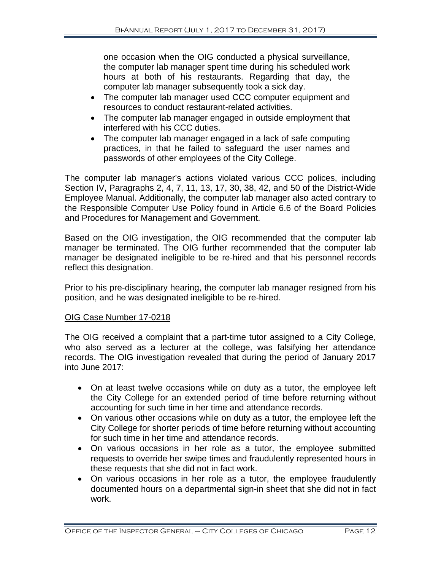one occasion when the OIG conducted a physical surveillance, the computer lab manager spent time during his scheduled work hours at both of his restaurants. Regarding that day, the computer lab manager subsequently took a sick day.

- The computer lab manager used CCC computer equipment and resources to conduct restaurant-related activities.
- The computer lab manager engaged in outside employment that interfered with his CCC duties.
- The computer lab manager engaged in a lack of safe computing practices, in that he failed to safeguard the user names and passwords of other employees of the City College.

The computer lab manager's actions violated various CCC polices, including Section IV, Paragraphs 2, 4, 7, 11, 13, 17, 30, 38, 42, and 50 of the District-Wide Employee Manual. Additionally, the computer lab manager also acted contrary to the Responsible Computer Use Policy found in Article 6.6 of the Board Policies and Procedures for Management and Government.

Based on the OIG investigation, the OIG recommended that the computer lab manager be terminated. The OIG further recommended that the computer lab manager be designated ineligible to be re-hired and that his personnel records reflect this designation.

Prior to his pre-disciplinary hearing, the computer lab manager resigned from his position, and he was designated ineligible to be re-hired.

#### OIG Case Number 17-0218

The OIG received a complaint that a part-time tutor assigned to a City College, who also served as a lecturer at the college, was falsifying her attendance records. The OIG investigation revealed that during the period of January 2017 into June 2017:

- On at least twelve occasions while on duty as a tutor, the employee left the City College for an extended period of time before returning without accounting for such time in her time and attendance records.
- On various other occasions while on duty as a tutor, the employee left the City College for shorter periods of time before returning without accounting for such time in her time and attendance records.
- On various occasions in her role as a tutor, the employee submitted requests to override her swipe times and fraudulently represented hours in these requests that she did not in fact work.
- On various occasions in her role as a tutor, the employee fraudulently documented hours on a departmental sign-in sheet that she did not in fact work.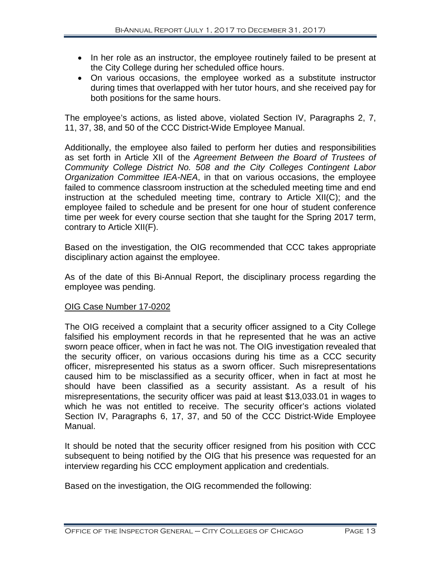- In her role as an instructor, the employee routinely failed to be present at the City College during her scheduled office hours.
- On various occasions, the employee worked as a substitute instructor during times that overlapped with her tutor hours, and she received pay for both positions for the same hours.

The employee's actions, as listed above, violated Section IV, Paragraphs 2, 7, 11, 37, 38, and 50 of the CCC District-Wide Employee Manual.

Additionally, the employee also failed to perform her duties and responsibilities as set forth in Article XII of the *Agreement Between the Board of Trustees of Community College District No. 508 and the City Colleges Contingent Labor Organization Committee IEA-NEA*, in that on various occasions, the employee failed to commence classroom instruction at the scheduled meeting time and end instruction at the scheduled meeting time, contrary to Article XII(C); and the employee failed to schedule and be present for one hour of student conference time per week for every course section that she taught for the Spring 2017 term, contrary to Article XII(F).

Based on the investigation, the OIG recommended that CCC takes appropriate disciplinary action against the employee.

As of the date of this Bi-Annual Report, the disciplinary process regarding the employee was pending.

#### OIG Case Number 17-0202

The OIG received a complaint that a security officer assigned to a City College falsified his employment records in that he represented that he was an active sworn peace officer, when in fact he was not. The OIG investigation revealed that the security officer, on various occasions during his time as a CCC security officer, misrepresented his status as a sworn officer. Such misrepresentations caused him to be misclassified as a security officer, when in fact at most he should have been classified as a security assistant. As a result of his misrepresentations, the security officer was paid at least \$13,033.01 in wages to which he was not entitled to receive. The security officer's actions violated Section IV, Paragraphs 6, 17, 37, and 50 of the CCC District-Wide Employee Manual.

It should be noted that the security officer resigned from his position with CCC subsequent to being notified by the OIG that his presence was requested for an interview regarding his CCC employment application and credentials.

Based on the investigation, the OIG recommended the following: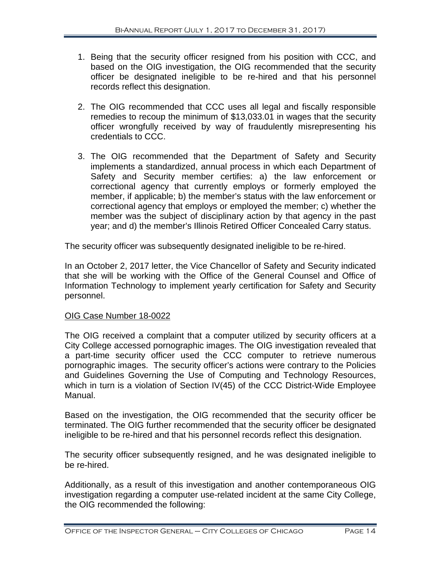- 1. Being that the security officer resigned from his position with CCC, and based on the OIG investigation, the OIG recommended that the security officer be designated ineligible to be re-hired and that his personnel records reflect this designation.
- 2. The OIG recommended that CCC uses all legal and fiscally responsible remedies to recoup the minimum of \$13,033.01 in wages that the security officer wrongfully received by way of fraudulently misrepresenting his credentials to CCC.
- 3. The OIG recommended that the Department of Safety and Security implements a standardized, annual process in which each Department of Safety and Security member certifies: a) the law enforcement or correctional agency that currently employs or formerly employed the member, if applicable; b) the member's status with the law enforcement or correctional agency that employs or employed the member; c) whether the member was the subject of disciplinary action by that agency in the past year; and d) the member's Illinois Retired Officer Concealed Carry status.

The security officer was subsequently designated ineligible to be re-hired.

In an October 2, 2017 letter, the Vice Chancellor of Safety and Security indicated that she will be working with the Office of the General Counsel and Office of Information Technology to implement yearly certification for Safety and Security personnel.

#### OIG Case Number 18-0022

The OIG received a complaint that a computer utilized by security officers at a City College accessed pornographic images. The OIG investigation revealed that a part-time security officer used the CCC computer to retrieve numerous pornographic images. The security officer's actions were contrary to the Policies and Guidelines Governing the Use of Computing and Technology Resources, which in turn is a violation of Section IV(45) of the CCC District-Wide Employee Manual.

Based on the investigation, the OIG recommended that the security officer be terminated. The OIG further recommended that the security officer be designated ineligible to be re-hired and that his personnel records reflect this designation.

The security officer subsequently resigned, and he was designated ineligible to be re-hired.

Additionally, as a result of this investigation and another contemporaneous OIG investigation regarding a computer use-related incident at the same City College, the OIG recommended the following: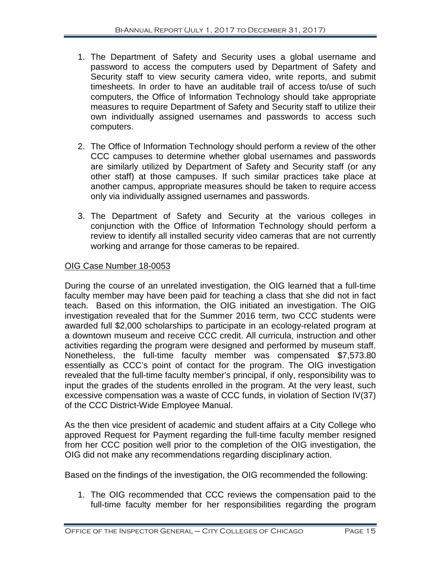- 1. The Department of Safety and Security uses a global username and password to access the computers used by Department of Safety and Security staff to view security camera video, write reports, and submit timesheets. In order to have an auditable trail of access to/use of such computers, the Office of Information Technology should take appropriate measures to require Department of Safety and Security staff to utilize their own individually assigned usernames and passwords to access such computers.
- 2. The Office of Information Technology should perform a review of the other CCC campuses to determine whether global usernames and passwords are similarly utilized by Department of Safety and Security staff (or any other staff) at those campuses. If such similar practices take place at another campus, appropriate measures should be taken to require access only via individually assigned usernames and passwords.
- 3. The Department of Safety and Security at the various colleges in conjunction with the Office of Information Technology should perform a review to identify all installed security video cameras that are not currently working and arrange for those cameras to be repaired.

#### OIG Case Number 18-0053

During the course of an unrelated investigation, the OIG learned that a full-time faculty member may have been paid for teaching a class that she did not in fact teach. Based on this information, the OIG initiated an investigation. The OIG investigation revealed that for the Summer 2016 term, two CCC students were awarded full \$2,000 scholarships to participate in an ecology-related program at a downtown museum and receive CCC credit. All curricula, instruction and other activities regarding the program were designed and performed by museum staff. Nonetheless, the full-time faculty member was compensated \$7,573.80 essentially as CCC's point of contact for the program. The OIG investigation revealed that the full-time faculty member's principal, if only, responsibility was to input the grades of the students enrolled in the program. At the very least, such excessive compensation was a waste of CCC funds, in violation of Section IV(37) of the CCC District-Wide Employee Manual.

As the then vice president of academic and student affairs at a City College who approved Request for Payment regarding the full-time faculty member resigned from her CCC position well prior to the completion of the OIG investigation, the OIG did not make any recommendations regarding disciplinary action.

Based on the findings of the investigation, the OIG recommended the following:

1. The OIG recommended that CCC reviews the compensation paid to the full-time faculty member for her responsibilities regarding the program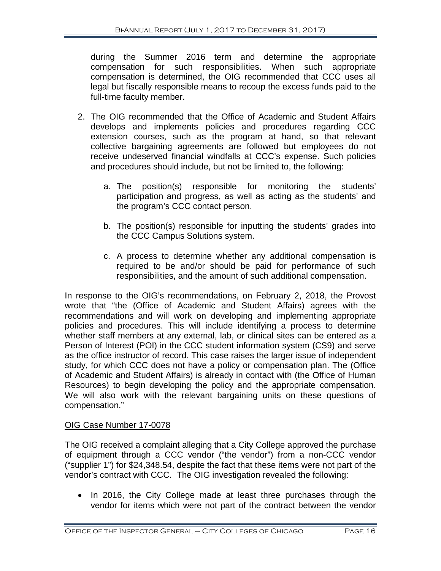during the Summer 2016 term and determine the appropriate compensation for such responsibilities. When such appropriate compensation is determined, the OIG recommended that CCC uses all legal but fiscally responsible means to recoup the excess funds paid to the full-time faculty member.

- 2. The OIG recommended that the Office of Academic and Student Affairs develops and implements policies and procedures regarding CCC extension courses, such as the program at hand, so that relevant collective bargaining agreements are followed but employees do not receive undeserved financial windfalls at CCC's expense. Such policies and procedures should include, but not be limited to, the following:
	- a. The position(s) responsible for monitoring the students' participation and progress, as well as acting as the students' and the program's CCC contact person.
	- b. The position(s) responsible for inputting the students' grades into the CCC Campus Solutions system.
	- c. A process to determine whether any additional compensation is required to be and/or should be paid for performance of such responsibilities, and the amount of such additional compensation.

In response to the OIG's recommendations, on February 2, 2018, the Provost wrote that "the (Office of Academic and Student Affairs) agrees with the recommendations and will work on developing and implementing appropriate policies and procedures. This will include identifying a process to determine whether staff members at any external, lab, or clinical sites can be entered as a Person of Interest (POI) in the CCC student information system (CS9) and serve as the office instructor of record. This case raises the larger issue of independent study, for which CCC does not have a policy or compensation plan. The (Office of Academic and Student Affairs) is already in contact with (the Office of Human Resources) to begin developing the policy and the appropriate compensation. We will also work with the relevant bargaining units on these questions of compensation."

#### OIG Case Number 17-0078

The OIG received a complaint alleging that a City College approved the purchase of equipment through a CCC vendor ("the vendor") from a non-CCC vendor ("supplier 1") for \$24,348.54, despite the fact that these items were not part of the vendor's contract with CCC. The OIG investigation revealed the following:

• In 2016, the City College made at least three purchases through the vendor for items which were not part of the contract between the vendor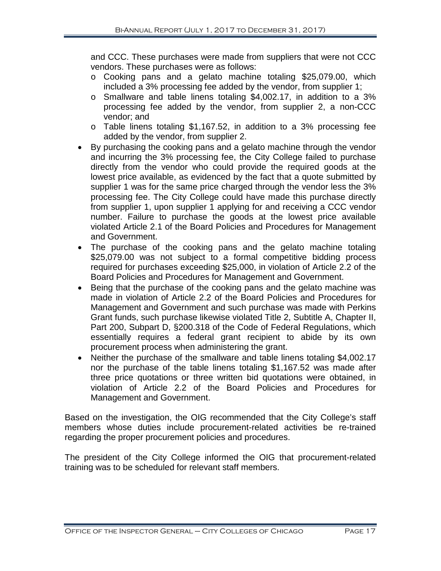and CCC. These purchases were made from suppliers that were not CCC vendors. These purchases were as follows:

- o Cooking pans and a gelato machine totaling \$25,079.00, which included a 3% processing fee added by the vendor, from supplier 1;
- o Smallware and table linens totaling \$4,002.17, in addition to a 3% processing fee added by the vendor, from supplier 2, a non-CCC vendor; and
- o Table linens totaling \$1,167.52, in addition to a 3% processing fee added by the vendor, from supplier 2.
- By purchasing the cooking pans and a gelato machine through the vendor and incurring the 3% processing fee, the City College failed to purchase directly from the vendor who could provide the required goods at the lowest price available, as evidenced by the fact that a quote submitted by supplier 1 was for the same price charged through the vendor less the 3% processing fee. The City College could have made this purchase directly from supplier 1, upon supplier 1 applying for and receiving a CCC vendor number. Failure to purchase the goods at the lowest price available violated Article 2.1 of the Board Policies and Procedures for Management and Government.
- The purchase of the cooking pans and the gelato machine totaling \$25,079.00 was not subject to a formal competitive bidding process required for purchases exceeding \$25,000, in violation of Article 2.2 of the Board Policies and Procedures for Management and Government.
- Being that the purchase of the cooking pans and the gelato machine was made in violation of Article 2.2 of the Board Policies and Procedures for Management and Government and such purchase was made with Perkins Grant funds, such purchase likewise violated Title 2, Subtitle A, Chapter II, Part 200, Subpart D, §200.318 of the Code of Federal Regulations, which essentially requires a federal grant recipient to abide by its own procurement process when administering the grant.
- Neither the purchase of the smallware and table linens totaling \$4,002.17 nor the purchase of the table linens totaling \$1,167.52 was made after three price quotations or three written bid quotations were obtained, in violation of Article 2.2 of the Board Policies and Procedures for Management and Government.

Based on the investigation, the OIG recommended that the City College's staff members whose duties include procurement-related activities be re-trained regarding the proper procurement policies and procedures.

The president of the City College informed the OIG that procurement-related training was to be scheduled for relevant staff members.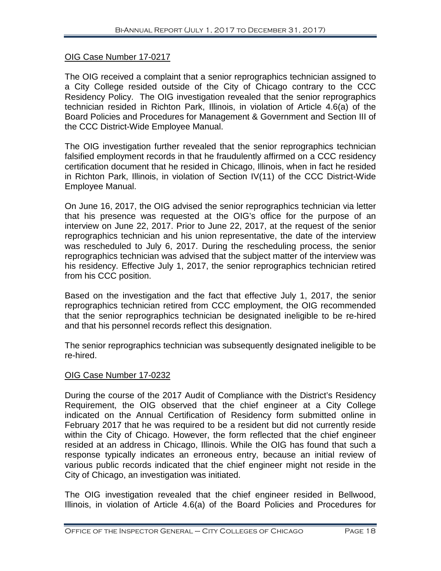#### OIG Case Number 17-0217

The OIG received a complaint that a senior reprographics technician assigned to a City College resided outside of the City of Chicago contrary to the CCC Residency Policy. The OIG investigation revealed that the senior reprographics technician resided in Richton Park, Illinois, in violation of Article 4.6(a) of the Board Policies and Procedures for Management & Government and Section III of the CCC District-Wide Employee Manual.

The OIG investigation further revealed that the senior reprographics technician falsified employment records in that he fraudulently affirmed on a CCC residency certification document that he resided in Chicago, Illinois, when in fact he resided in Richton Park, Illinois, in violation of Section IV(11) of the CCC District-Wide Employee Manual.

On June 16, 2017, the OIG advised the senior reprographics technician via letter that his presence was requested at the OIG's office for the purpose of an interview on June 22, 2017. Prior to June 22, 2017, at the request of the senior reprographics technician and his union representative, the date of the interview was rescheduled to July 6, 2017. During the rescheduling process, the senior reprographics technician was advised that the subject matter of the interview was his residency. Effective July 1, 2017, the senior reprographics technician retired from his CCC position.

Based on the investigation and the fact that effective July 1, 2017, the senior reprographics technician retired from CCC employment, the OIG recommended that the senior reprographics technician be designated ineligible to be re-hired and that his personnel records reflect this designation.

The senior reprographics technician was subsequently designated ineligible to be re-hired.

#### OIG Case Number 17-0232

During the course of the 2017 Audit of Compliance with the District's Residency Requirement, the OIG observed that the chief engineer at a City College indicated on the Annual Certification of Residency form submitted online in February 2017 that he was required to be a resident but did not currently reside within the City of Chicago. However, the form reflected that the chief engineer resided at an address in Chicago, Illinois. While the OIG has found that such a response typically indicates an erroneous entry, because an initial review of various public records indicated that the chief engineer might not reside in the City of Chicago, an investigation was initiated.

The OIG investigation revealed that the chief engineer resided in Bellwood, Illinois, in violation of Article 4.6(a) of the Board Policies and Procedures for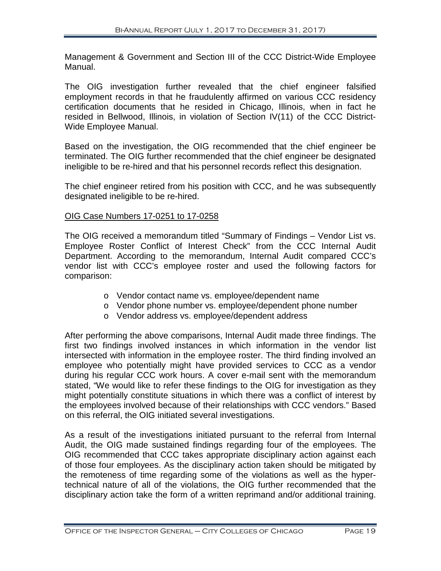Management & Government and Section III of the CCC District-Wide Employee Manual.

The OIG investigation further revealed that the chief engineer falsified employment records in that he fraudulently affirmed on various CCC residency certification documents that he resided in Chicago, Illinois, when in fact he resided in Bellwood, Illinois, in violation of Section IV(11) of the CCC District-Wide Employee Manual.

Based on the investigation, the OIG recommended that the chief engineer be terminated. The OIG further recommended that the chief engineer be designated ineligible to be re-hired and that his personnel records reflect this designation.

The chief engineer retired from his position with CCC, and he was subsequently designated ineligible to be re-hired.

#### OIG Case Numbers 17-0251 to 17-0258

The OIG received a memorandum titled "Summary of Findings – Vendor List vs. Employee Roster Conflict of Interest Check" from the CCC Internal Audit Department. According to the memorandum, Internal Audit compared CCC's vendor list with CCC's employee roster and used the following factors for comparison:

- o Vendor contact name vs. employee/dependent name
- o Vendor phone number vs. employee/dependent phone number
- o Vendor address vs. employee/dependent address

After performing the above comparisons, Internal Audit made three findings. The first two findings involved instances in which information in the vendor list intersected with information in the employee roster. The third finding involved an employee who potentially might have provided services to CCC as a vendor during his regular CCC work hours. A cover e-mail sent with the memorandum stated, "We would like to refer these findings to the OIG for investigation as they might potentially constitute situations in which there was a conflict of interest by the employees involved because of their relationships with CCC vendors." Based on this referral, the OIG initiated several investigations.

As a result of the investigations initiated pursuant to the referral from Internal Audit, the OIG made sustained findings regarding four of the employees. The OIG recommended that CCC takes appropriate disciplinary action against each of those four employees. As the disciplinary action taken should be mitigated by the remoteness of time regarding some of the violations as well as the hypertechnical nature of all of the violations, the OIG further recommended that the disciplinary action take the form of a written reprimand and/or additional training.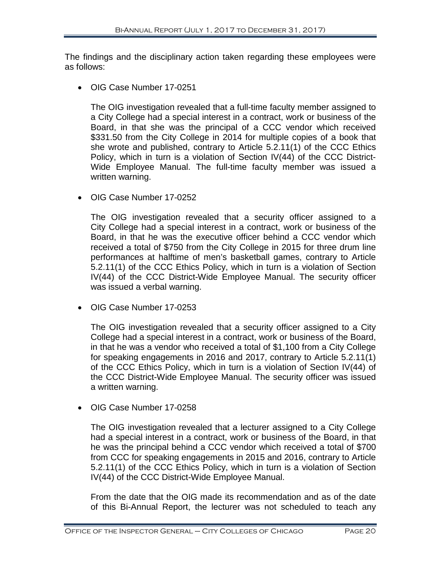The findings and the disciplinary action taken regarding these employees were as follows:

• OIG Case Number 17-0251

The OIG investigation revealed that a full-time faculty member assigned to a City College had a special interest in a contract, work or business of the Board, in that she was the principal of a CCC vendor which received \$331.50 from the City College in 2014 for multiple copies of a book that she wrote and published, contrary to Article 5.2.11(1) of the CCC Ethics Policy, which in turn is a violation of Section  $IV(44)$  of the CCC District-Wide Employee Manual. The full-time faculty member was issued a written warning.

• OIG Case Number 17-0252

The OIG investigation revealed that a security officer assigned to a City College had a special interest in a contract, work or business of the Board, in that he was the executive officer behind a CCC vendor which received a total of \$750 from the City College in 2015 for three drum line performances at halftime of men's basketball games, contrary to Article 5.2.11(1) of the CCC Ethics Policy, which in turn is a violation of Section IV(44) of the CCC District-Wide Employee Manual. The security officer was issued a verbal warning.

• OIG Case Number 17-0253

The OIG investigation revealed that a security officer assigned to a City College had a special interest in a contract, work or business of the Board, in that he was a vendor who received a total of \$1,100 from a City College for speaking engagements in 2016 and 2017, contrary to Article 5.2.11(1) of the CCC Ethics Policy, which in turn is a violation of Section IV(44) of the CCC District-Wide Employee Manual. The security officer was issued a written warning.

• OIG Case Number 17-0258

The OIG investigation revealed that a lecturer assigned to a City College had a special interest in a contract, work or business of the Board, in that he was the principal behind a CCC vendor which received a total of \$700 from CCC for speaking engagements in 2015 and 2016, contrary to Article 5.2.11(1) of the CCC Ethics Policy, which in turn is a violation of Section IV(44) of the CCC District-Wide Employee Manual.

From the date that the OIG made its recommendation and as of the date of this Bi-Annual Report, the lecturer was not scheduled to teach any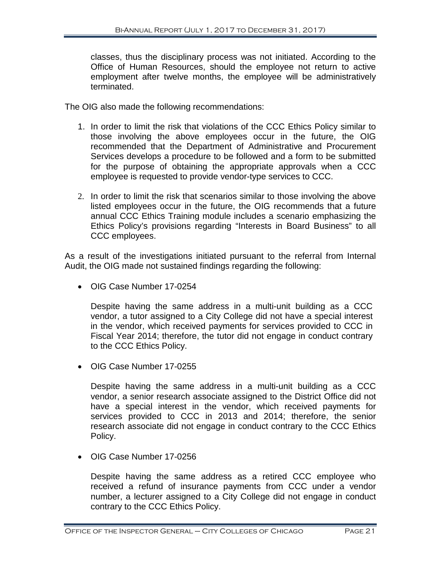classes, thus the disciplinary process was not initiated. According to the Office of Human Resources, should the employee not return to active employment after twelve months, the employee will be administratively terminated.

The OIG also made the following recommendations:

- 1. In order to limit the risk that violations of the CCC Ethics Policy similar to those involving the above employees occur in the future, the OIG recommended that the Department of Administrative and Procurement Services develops a procedure to be followed and a form to be submitted for the purpose of obtaining the appropriate approvals when a CCC employee is requested to provide vendor-type services to CCC.
- 2. In order to limit the risk that scenarios similar to those involving the above listed employees occur in the future, the OIG recommends that a future annual CCC Ethics Training module includes a scenario emphasizing the Ethics Policy's provisions regarding "Interests in Board Business" to all CCC employees.

As a result of the investigations initiated pursuant to the referral from Internal Audit, the OIG made not sustained findings regarding the following:

• OIG Case Number 17-0254

Despite having the same address in a multi-unit building as a CCC vendor, a tutor assigned to a City College did not have a special interest in the vendor, which received payments for services provided to CCC in Fiscal Year 2014; therefore, the tutor did not engage in conduct contrary to the CCC Ethics Policy.

• OIG Case Number 17-0255

Despite having the same address in a multi-unit building as a CCC vendor, a senior research associate assigned to the District Office did not have a special interest in the vendor, which received payments for services provided to CCC in 2013 and 2014; therefore, the senior research associate did not engage in conduct contrary to the CCC Ethics Policy.

• OIG Case Number 17-0256

Despite having the same address as a retired CCC employee who received a refund of insurance payments from CCC under a vendor number, a lecturer assigned to a City College did not engage in conduct contrary to the CCC Ethics Policy.